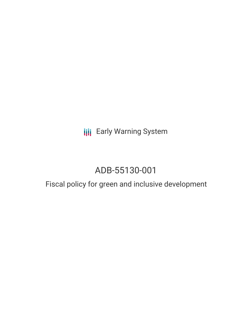**III** Early Warning System

# ADB-55130-001

# Fiscal policy for green and inclusive development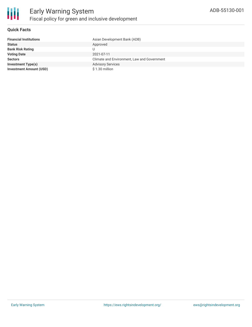

#### **Quick Facts**

| <b>Financial Institutions</b>  | Asian Development Bank (ADB)                |
|--------------------------------|---------------------------------------------|
| <b>Status</b>                  | Approved                                    |
| <b>Bank Risk Rating</b>        |                                             |
| <b>Voting Date</b>             | 2021-07-11                                  |
| <b>Sectors</b>                 | Climate and Environment, Law and Government |
| <b>Investment Type(s)</b>      | <b>Advisory Services</b>                    |
| <b>Investment Amount (USD)</b> | $$1.30$ million                             |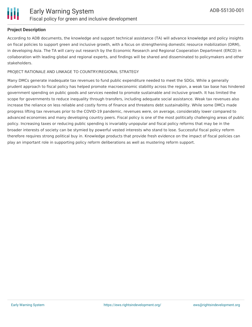

#### **Project Description**

According to ADB documents, the knowledge and support technical assistance (TA) will advance knowledge and policy insights on fiscal policies to support green and inclusive growth, with a focus on strengthening domestic resource mobilization (DRM), in developing Asia. The TA will carry out research by the Economic Research and Regional Cooperation Department (ERCD) in collaboration with leading global and regional experts, and findings will be shared and disseminated to policymakers and other stakeholders.

#### PROJECT RATIONALE AND LINKAGE TO COUNTRY/REGIONAL STRATEGY

Many DMCs generate inadequate tax revenues to fund public expenditure needed to meet the SDGs. While a generally prudent approach to fiscal policy has helped promote macroeconomic stability across the region, a weak tax base has hindered government spending on public goods and services needed to promote sustainable and inclusive growth. It has limited the scope for governments to reduce inequality through transfers, including adequate social assistance. Weak tax revenues also increase the reliance on less reliable and costly forms of finance and threatens debt sustainability. While some DMCs made progress lifting tax revenues prior to the COVID-19 pandemic, revenues were, on average, considerably lower compared to advanced economies and many developing country peers. Fiscal policy is one of the most politically challenging areas of public policy. Increasing taxes or reducing public spending is invariably unpopular and fiscal policy reforms that may be in the broader interests of society can be stymied by powerful vested interests who stand to lose. Successful fiscal policy reform therefore requires strong political buy in. Knowledge products that provide fresh evidence on the impact of fiscal policies can play an important role in supporting policy reform deliberations as well as mustering reform support.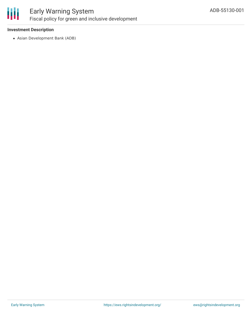

# Early Warning System Fiscal policy for green and inclusive development

### **Investment Description**

Asian Development Bank (ADB)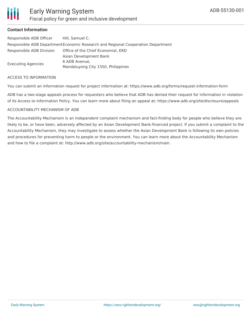## **Contact Information**

| Responsible ADB Officer                                                          | Hill, Samuel C.                    |
|----------------------------------------------------------------------------------|------------------------------------|
| Responsible ADB Department Economic Research and Regional Cooperation Department |                                    |
| Responsible ADB Division                                                         | Office of the Chief Economist, ERD |
|                                                                                  | Asian Development Bank             |
| Executing Agencies                                                               | 6 ADB Avenue,                      |
|                                                                                  | Mandaluyong City 1550, Philippines |

#### ACCESS TO INFORMATION

You can submit an information request for project information at: https://www.adb.org/forms/request-information-form

ADB has a two-stage appeals process for requesters who believe that ADB has denied their request for information in violation of its Access to Information Policy. You can learn more about filing an appeal at: https://www.adb.org/site/disclosure/appeals

#### ACCOUNTABILITY MECHANISM OF ADB

The Accountability Mechanism is an independent complaint mechanism and fact-finding body for people who believe they are likely to be, or have been, adversely affected by an Asian Development Bank-financed project. If you submit a complaint to the Accountability Mechanism, they may investigate to assess whether the Asian Development Bank is following its own policies and procedures for preventing harm to people or the environment. You can learn more about the Accountability Mechanism and how to file a complaint at: http://www.adb.org/site/accountability-mechanism/main.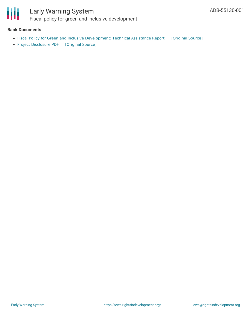

## Early Warning System Fiscal policy for green and inclusive development

#### **Bank Documents**

- Fiscal Policy for Green and Inclusive [Development:](https://ewsdata.rightsindevelopment.org/files/documents/01/ADB-55130-001_7fFKMrL.pdf) Technical Assistance Report [\[Original](https://www.adb.org/projects/documents/reg-55130-001-tar) Source]
- Project [Disclosure](https://ewsdata.rightsindevelopment.org/files/documents/01/ADB-55130-001.pdf) PDF [\[Original](https://www.adb.org/printpdf/projects/55130-001/main) Source]